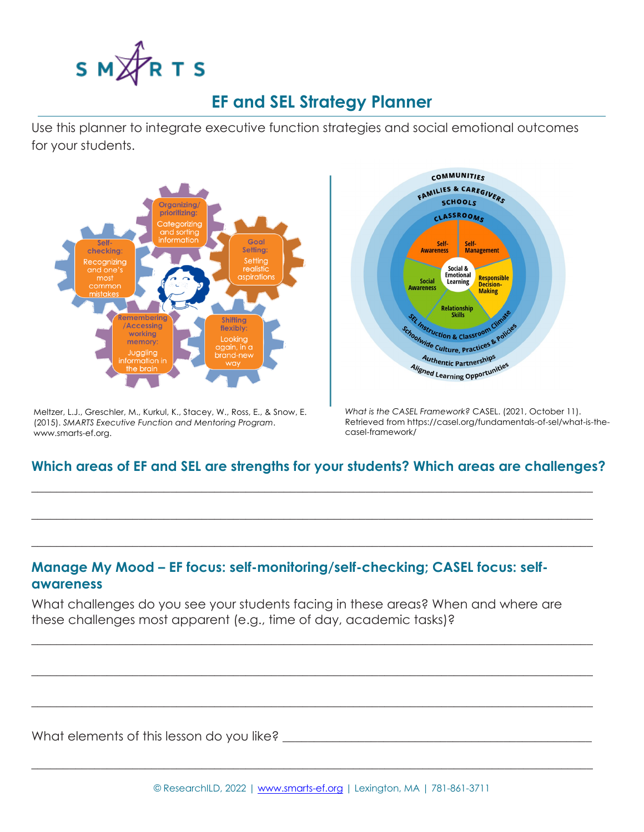

## **EF and SEL Strategy Planner**

Use this planner to integrate executive function strategies and social emotional outcomes for your students.



Meltzer, L.J., Greschler, M., Kurkul, K., Stacey, W., Ross, E., & Snow, E. (2015). *SMARTS Executive Function and Mentoring Program*. www.smarts-ef.org.



*What is the CASEL Framework?* CASEL. (2021, October 11). Retrieved from https://casel.org/fundamentals-of-sel/what-is-thecasel-framework/

## **Which areas of EF and SEL are strengths for your students? Which areas are challenges?**

 $\_$  , and the set of the set of the set of the set of the set of the set of the set of the set of the set of the set of the set of the set of the set of the set of the set of the set of the set of the set of the set of th

 $\_$  , and the set of the set of the set of the set of the set of the set of the set of the set of the set of the set of the set of the set of the set of the set of the set of the set of the set of the set of the set of th

 $\_$  , and the set of the set of the set of the set of the set of the set of the set of the set of the set of the set of the set of the set of the set of the set of the set of the set of the set of the set of the set of th

## **Manage My Mood – EF focus: self-monitoring/self-checking; CASEL focus: selfawareness**

What challenges do you see your students facing in these areas? When and where are these challenges most apparent (e.g., time of day, academic tasks)?

 $\_$  , and the set of the set of the set of the set of the set of the set of the set of the set of the set of the set of the set of the set of the set of the set of the set of the set of the set of the set of the set of th

 $\_$  , and the set of the set of the set of the set of the set of the set of the set of the set of the set of the set of the set of the set of the set of the set of the set of the set of the set of the set of the set of th

 $\_$  , and the set of the set of the set of the set of the set of the set of the set of the set of the set of the set of the set of the set of the set of the set of the set of the set of the set of the set of the set of th

 $\_$  , and the set of the set of the set of the set of the set of the set of the set of the set of the set of the set of the set of the set of the set of the set of the set of the set of the set of the set of the set of th

What elements of this lesson do you like? \_\_\_\_\_\_\_\_\_\_\_\_\_\_\_\_\_\_\_\_\_\_\_\_\_\_\_\_\_\_\_\_\_\_\_\_\_\_\_\_\_\_\_\_\_\_\_\_\_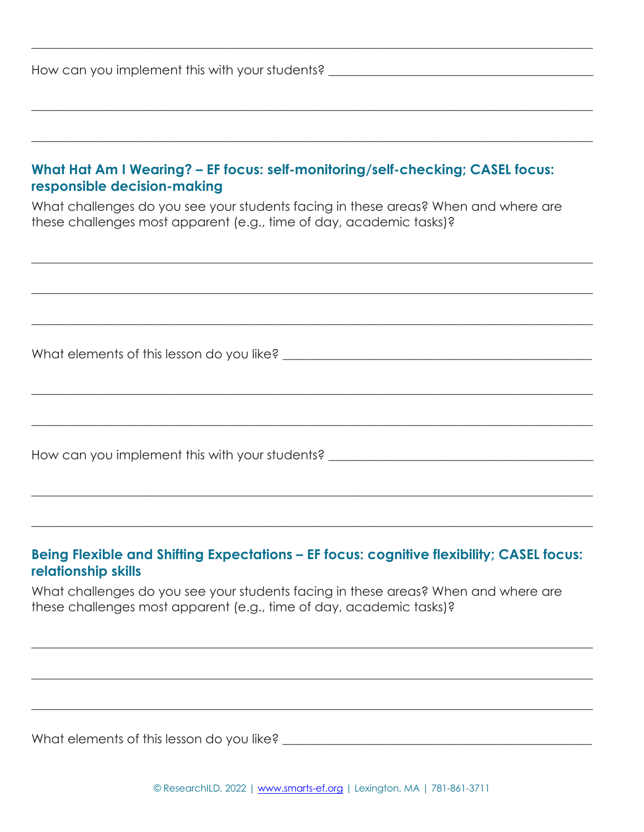| How can you implement this with your students? |  |
|------------------------------------------------|--|
|------------------------------------------------|--|

| What Hat Am I Wearing? - EF focus: self-monitoring/self-checking; CASEL focus:<br>responsible decision-making                                             |
|-----------------------------------------------------------------------------------------------------------------------------------------------------------|
| What challenges do you see your students facing in these areas? When and where are<br>these challenges most apparent (e.g., time of day, academic tasks)? |
|                                                                                                                                                           |
|                                                                                                                                                           |
| What elements of this lesson do you like?                                                                                                                 |

 $\_$  , and the set of the set of the set of the set of the set of the set of the set of the set of the set of the set of the set of the set of the set of the set of the set of the set of the set of the set of the set of th

 $\_$  , and the set of the set of the set of the set of the set of the set of the set of the set of the set of the set of the set of the set of the set of the set of the set of the set of the set of the set of the set of th

 $\_$  , and the set of the set of the set of the set of the set of the set of the set of the set of the set of the set of the set of the set of the set of the set of the set of the set of the set of the set of the set of th

 $\_$  , and the set of the set of the set of the set of the set of the set of the set of the set of the set of the set of the set of the set of the set of the set of the set of the set of the set of the set of the set of th

 $\_$  , and the set of the set of the set of the set of the set of the set of the set of the set of the set of the set of the set of the set of the set of the set of the set of the set of the set of the set of the set of th

 $\_$  , and the set of the set of the set of the set of the set of the set of the set of the set of the set of the set of the set of the set of the set of the set of the set of the set of the set of the set of the set of th

 $\_$  , and the set of the set of the set of the set of the set of the set of the set of the set of the set of the set of the set of the set of the set of the set of the set of the set of the set of the set of the set of th

How can you implement this with your students? \_\_\_\_\_\_\_\_\_\_\_\_\_\_\_\_\_\_\_\_\_\_\_\_\_\_\_\_\_\_\_\_\_

## **Being Flexible and Shifting Expectations – EF focus: cognitive flexibility; CASEL focus: relationship skills**

 $\_$  , and the set of the set of the set of the set of the set of the set of the set of the set of the set of the set of the set of the set of the set of the set of the set of the set of the set of the set of the set of th

 $\_$  , and the set of the set of the set of the set of the set of the set of the set of the set of the set of the set of the set of the set of the set of the set of the set of the set of the set of the set of the set of th

 $\_$  , and the set of the set of the set of the set of the set of the set of the set of the set of the set of the set of the set of the set of the set of the set of the set of the set of the set of the set of the set of th

What challenges do you see your students facing in these areas? When and where are these challenges most apparent (e.g., time of day, academic tasks)?

What elements of this lesson do you like? \_\_\_\_\_\_\_\_\_\_\_\_\_\_\_\_\_\_\_\_\_\_\_\_\_\_\_\_\_\_\_\_\_\_\_\_\_\_\_\_\_\_\_\_\_\_\_\_\_